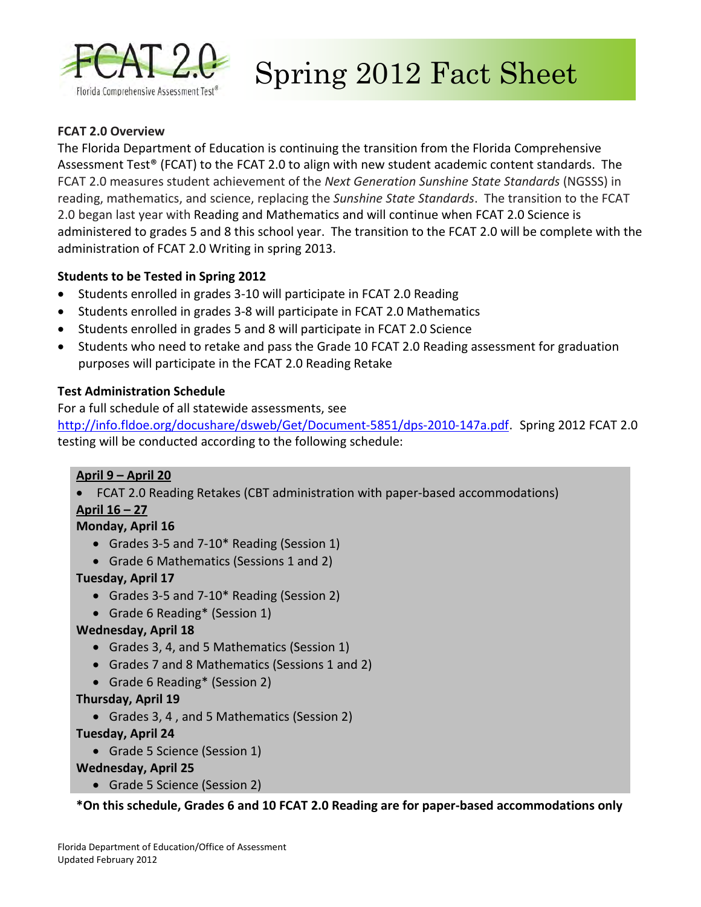

Spring 2012 Fact Sheet

### **FCAT 2.0 Overview**

The Florida Department of Education is continuing the transition from the Florida Comprehensive Assessment Test® (FCAT) to the FCAT 2.0 to align with new student academic content standards. The FCAT 2.0 measures student achievement of the *Next Generation Sunshine State Standards* (NGSSS) in reading, mathematics, and science, replacing the *Sunshine State Standards*. The transition to the FCAT 2.0 began last year with Reading and Mathematics and will continue when FCAT 2.0 Science is administered to grades 5 and 8 this school year. The transition to the FCAT 2.0 will be complete with the administration of FCAT 2.0 Writing in spring 2013.

### **Students to be Tested in Spring 2012**

- Students enrolled in grades 3-10 will participate in FCAT 2.0 Reading
- Students enrolled in grades 3-8 will participate in FCAT 2.0 Mathematics
- Students enrolled in grades 5 and 8 will participate in FCAT 2.0 Science
- Students who need to retake and pass the Grade 10 FCAT 2.0 Reading assessment for graduation purposes will participate in the FCAT 2.0 Reading Retake

### **Test Administration Schedule**

For a full schedule of all statewide assessments, see <http://info.fldoe.org/docushare/dsweb/Get/Document-5851/dps-2010-147a.pdf>. Spring 2012 FCAT 2.0

testing will be conducted according to the following schedule:

### **April 9 – April 20**

- FCAT 2.0 Reading Retakes (CBT administration with paper-based accommodations)
- **April 16 27**

### **Monday, April 16**

- Grades 3-5 and 7-10\* Reading (Session 1)
- Grade 6 Mathematics (Sessions 1 and 2)

### **Tuesday, April 17**

- Grades 3-5 and 7-10\* Reading (Session 2)
- Grade 6 Reading\* (Session 1)

### **Wednesday, April 18**

- Grades 3, 4, and 5 Mathematics (Session 1)
- Grades 7 and 8 Mathematics (Sessions 1 and 2)
- Grade 6 Reading\* (Session 2)

#### **Thursday, April 19**

• Grades 3, 4 , and 5 Mathematics (Session 2)

#### **Tuesday, April 24**

• Grade 5 Science (Session 1)

### **Wednesday, April 25**

• Grade 5 Science (Session 2)

**\*On this schedule, Grades 6 and 10 FCAT 2.0 Reading are for paper-based accommodations only**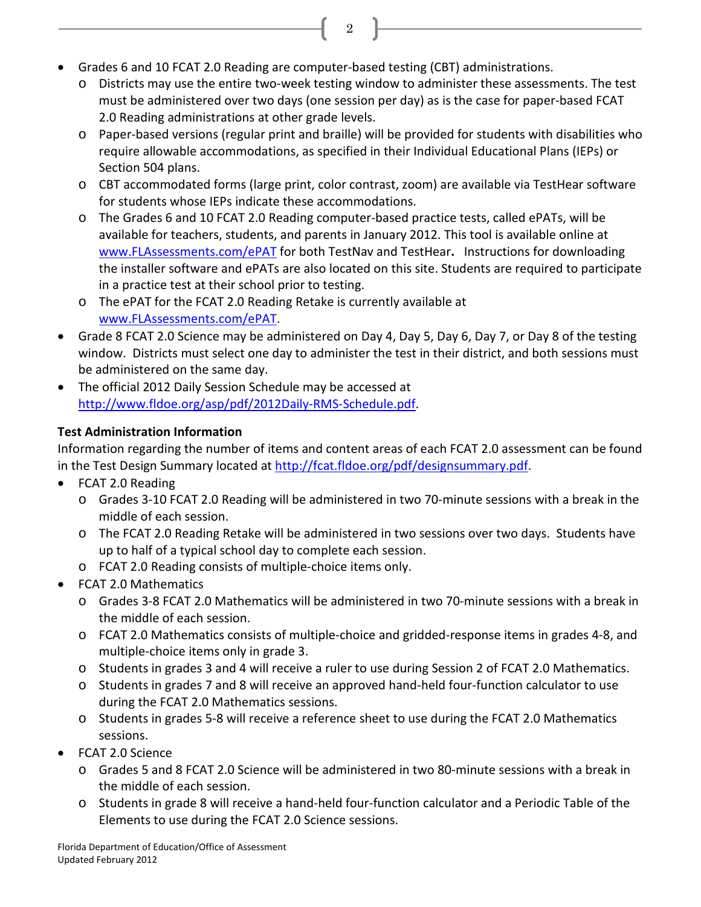- Grades 6 and 10 FCAT 2.0 Reading are computer-based testing (CBT) administrations.
	- o Districts may use the entire two-week testing window to administer these assessments. The test must be administered over two days (one session per day) as is the case for paper-based FCAT 2.0 Reading administrations at other grade levels.

2

- o Paper-based versions (regular print and braille) will be provided for students with disabilities who require allowable accommodations, as specified in their Individual Educational Plans (IEPs) or Section 504 plans.
- o CBT accommodated forms (large print, color contrast, zoom) are available via TestHear software for students whose IEPs indicate these accommodations.
- o The Grades 6 and 10 FCAT 2.0 Reading computer-based practice tests, called ePATs, will be available for teachers, students, and parents in January 2012. This tool is available online at [www.FLAssessments.com/ePAT](http://www.flassessments.com/ePAT) for both TestNav and TestHear**.** Instructions for downloading the installer software and ePATs are also located on this site. Students are required to participate in a practice test at their school prior to testing.
- o The ePAT for the FCAT 2.0 Reading Retake is currently available at [www.FLAssessments.com/ePAT](http://www.flassessments.com/ePAT).
- Grade 8 FCAT 2.0 Science may be administered on Day 4, Day 5, Day 6, Day 7, or Day 8 of the testing window. Districts must select one day to administer the test in their district, and both sessions must be administered on the same day.
- The official 2012 Daily Session Schedule may be accessed at [http://www.fldoe.org/asp/pdf/2012Daily-RMS-Schedule.pdf.](http://www.fldoe.org/asp/pdf/2012Daily-RMS-Schedule.pdf)

# **Test Administration Information**

Information regarding the number of items and content areas of each FCAT 2.0 assessment can be found in the Test Design Summary located at [http://fcat.fldoe.org/pdf/designsummary.pdf.](http://fcat.fldoe.org/pdf/designsummary.pdf)

- FCAT 2.0 Reading
	- o Grades 3-10 FCAT 2.0 Reading will be administered in two 70-minute sessions with a break in the middle of each session.
	- o The FCAT 2.0 Reading Retake will be administered in two sessions over two days. Students have up to half of a typical school day to complete each session.
	- o FCAT 2.0 Reading consists of multiple-choice items only.
- FCAT 2.0 Mathematics
	- o Grades 3-8 FCAT 2.0 Mathematics will be administered in two 70-minute sessions with a break in the middle of each session.
	- o FCAT 2.0 Mathematics consists of multiple-choice and gridded-response items in grades 4-8, and multiple-choice items only in grade 3.
	- o Students in grades 3 and 4 will receive a ruler to use during Session 2 of FCAT 2.0 Mathematics.
	- o Students in grades 7 and 8 will receive an approved hand-held four-function calculator to use during the FCAT 2.0 Mathematics sessions.
	- o Students in grades 5-8 will receive a reference sheet to use during the FCAT 2.0 Mathematics sessions.
- FCAT 2.0 Science
	- o Grades 5 and 8 FCAT 2.0 Science will be administered in two 80-minute sessions with a break in the middle of each session.
	- o Students in grade 8 will receive a hand-held four-function calculator and a Periodic Table of the Elements to use during the FCAT 2.0 Science sessions.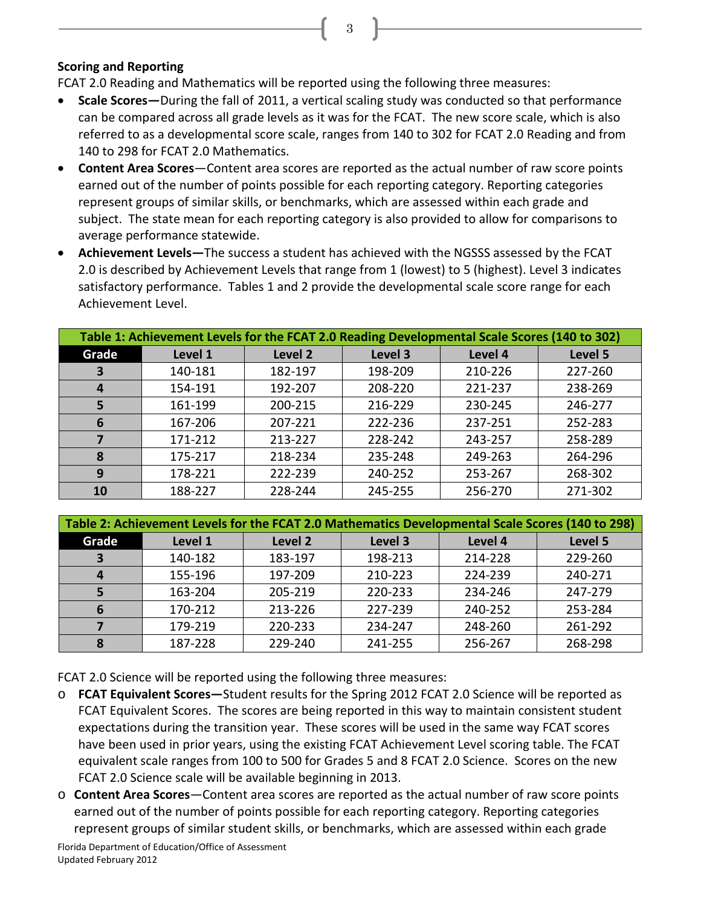### **Scoring and Reporting**

FCAT 2.0 Reading and Mathematics will be reported using the following three measures:

• **Scale Scores—**During the fall of 2011, a vertical scaling study was conducted so that performance can be compared across all grade levels as it was for the FCAT. The new score scale, which is also referred to as a developmental score scale, ranges from 140 to 302 for FCAT 2.0 Reading and from 140 to 298 for FCAT 2.0 Mathematics.

3

- **Content Area Scores**―Content area scores are reported as the actual number of raw score points earned out of the number of points possible for each reporting category. Reporting categories represent groups of similar skills, or benchmarks, which are assessed within each grade and subject. The state mean for each reporting category is also provided to allow for comparisons to average performance statewide.
- **Achievement Levels―**The success a student has achieved with the NGSSS assessed by the FCAT 2.0 is described by Achievement Levels that range from 1 (lowest) to 5 (highest). Level 3 indicates satisfactory performance. Tables 1 and 2 provide the developmental scale score range for each Achievement Level.

| Table 1: Achievement Levels for the FCAT 2.0 Reading Developmental Scale Scores (140 to 302) |         |         |         |         |         |  |  |
|----------------------------------------------------------------------------------------------|---------|---------|---------|---------|---------|--|--|
| Grade                                                                                        | Level 1 | Level 2 | Level 3 | Level 4 | Level 5 |  |  |
| 3                                                                                            | 140-181 | 182-197 | 198-209 | 210-226 | 227-260 |  |  |
| 4                                                                                            | 154-191 | 192-207 | 208-220 | 221-237 | 238-269 |  |  |
| 5                                                                                            | 161-199 | 200-215 | 216-229 | 230-245 | 246-277 |  |  |
| 6                                                                                            | 167-206 | 207-221 | 222-236 | 237-251 | 252-283 |  |  |
|                                                                                              | 171-212 | 213-227 | 228-242 | 243-257 | 258-289 |  |  |
| 8                                                                                            | 175-217 | 218-234 | 235-248 | 249-263 | 264-296 |  |  |
| 9                                                                                            | 178-221 | 222-239 | 240-252 | 253-267 | 268-302 |  |  |
| <b>10</b>                                                                                    | 188-227 | 228-244 | 245-255 | 256-270 | 271-302 |  |  |

| Table 2: Achievement Levels for the FCAT 2.0 Mathematics Developmental Scale Scores (140 to 298) |         |         |         |         |         |  |  |  |
|--------------------------------------------------------------------------------------------------|---------|---------|---------|---------|---------|--|--|--|
| Grade                                                                                            | Level 1 | Level 2 | Level 3 | Level 4 | Level 5 |  |  |  |
| 3                                                                                                | 140-182 | 183-197 | 198-213 | 214-228 | 229-260 |  |  |  |
| 4                                                                                                | 155-196 | 197-209 | 210-223 | 224-239 | 240-271 |  |  |  |
|                                                                                                  | 163-204 | 205-219 | 220-233 | 234-246 | 247-279 |  |  |  |
| 6                                                                                                | 170-212 | 213-226 | 227-239 | 240-252 | 253-284 |  |  |  |
|                                                                                                  | 179-219 | 220-233 | 234-247 | 248-260 | 261-292 |  |  |  |
| 8                                                                                                | 187-228 | 229-240 | 241-255 | 256-267 | 268-298 |  |  |  |

FCAT 2.0 Science will be reported using the following three measures:

- o **FCAT Equivalent Scores―**Student results for the Spring 2012 FCAT 2.0 Science will be reported as FCAT Equivalent Scores. The scores are being reported in this way to maintain consistent student expectations during the transition year. These scores will be used in the same way FCAT scores have been used in prior years, using the existing FCAT Achievement Level scoring table. The FCAT equivalent scale ranges from 100 to 500 for Grades 5 and 8 FCAT 2.0 Science. Scores on the new FCAT 2.0 Science scale will be available beginning in 2013.
- o **Content Area Scores**―Content area scores are reported as the actual number of raw score points earned out of the number of points possible for each reporting category. Reporting categories represent groups of similar student skills, or benchmarks, which are assessed within each grade

Florida Department of Education/Office of Assessment Updated February 2012